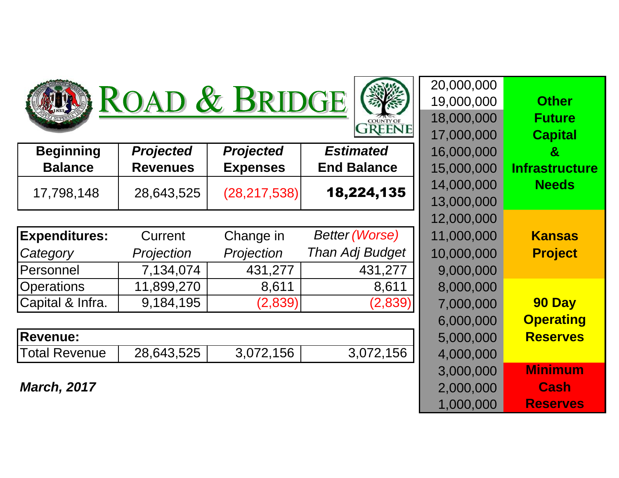





|                      |                  |                  | <b>Estimated</b>      |            |                  |
|----------------------|------------------|------------------|-----------------------|------------|------------------|
| <b>Beginning</b>     | <b>Projected</b> | <b>Projected</b> |                       | 16,000,000 | $\boldsymbol{8}$ |
| <b>Balance</b>       | <b>Revenues</b>  | <b>Expenses</b>  | <b>End Balance</b>    | 15,000,000 | Infrastr         |
| 17,798,148           | 28,643,525       | (28, 217, 538)   | 18,224,135            | 14,000,000 | <b>Nee</b>       |
|                      |                  |                  |                       | 13,000,000 |                  |
|                      |                  |                  |                       | 12,000,000 |                  |
| <b>Expenditures:</b> | Current          | Change in        | <b>Better (Worse)</b> | 11,000,000 | <b>Kans</b>      |
| Category             | Projection       | Projection       | Than Adj Budget       | 10,000,000 | Proj             |
| <b>Personnel</b>     | 7,134,074        | 431,277          | 431,277               | 9,000,000  |                  |
| Operations           | 11,899,270       | 8,611            | 8,611                 | 8,000,000  |                  |
| Capital & Infra.     | 9,184,195        | (2,839)          | (2,839)               | 7,000,000  | <b>90 D</b>      |
|                      |                  |                  |                       | 6,000,000  | <b>Opera</b>     |
| <b>Revenue:</b>      |                  |                  |                       | 5,000,000  | <b>Reser</b>     |
| <b>Total Revenue</b> | 28,643,525       | 3,072,156        | 3,072,156             | 4,000,000  |                  |

**March, 2017**

|                       | 20,000,000 |                        |                  |                  |                |
|-----------------------|------------|------------------------|------------------|------------------|----------------|
| <b>Other</b>          | 19,000,000 |                        | ROAD & BRIDGE    |                  |                |
| <b>Future</b>         | 18,000,000 | <b>COUNTY OF</b>       |                  |                  |                |
| <b>Capital</b>        | 17,000,000 | <b>GREENE</b>          |                  |                  |                |
| $\mathbf{g}$          | 16,000,000 | <b>Estimated</b>       | <b>Projected</b> | <b>Projected</b> | ιğ             |
| <b>Infrastructure</b> | 15,000,000 | <b>End Balance</b>     | <b>Expenses</b>  | <b>Revenues</b>  | Э              |
| <b>Needs</b>          | 14,000,000 | 18,224,135             |                  |                  | 18             |
|                       | 13,000,000 |                        | (28, 217, 538)   | 28,643,525       |                |
|                       | 12,000,000 |                        |                  |                  |                |
| <b>Kansas</b>         | 11,000,000 | <b>Better (Worse)</b>  | Change in        | Current          | es:            |
| <b>Project</b>        | 10,000,000 | <b>Than Adj Budget</b> | Projection       | Projection       |                |
|                       | 9,000,000  | 431,277                | 431,277          | 7,134,074        |                |
|                       | 8,000,000  | 8,611                  | 8,611            | 11,899,270       |                |
| 90 Day                | 7,000,000  | (2,839)                | (2,839)          | 9,184,195        | fra.           |
| <b>Operating</b>      | 6,000,000  |                        |                  |                  |                |
| <b>Reserves</b>       | 5,000,000  |                        |                  |                  |                |
|                       | 4,000,000  | 3,072,156              | 3,072,156        | 28,643,525       | nue            |
| <b>Minimum</b>        | 3,000,000  |                        |                  |                  |                |
| <b>Cash</b>           | 2,000,000  |                        |                  |                  | $\overline{7}$ |
| <b>Reserves</b>       | 1,000,000  |                        |                  |                  |                |
|                       |            |                        |                  |                  |                |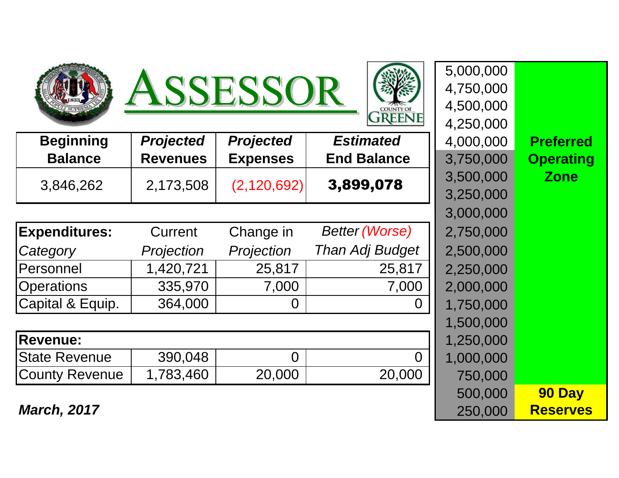





| <b>Beginning</b>      | <b>Projected</b> | <b>Projected</b> | <b>Estimated</b>       | 4,000,000 | <b>Preferred</b> |
|-----------------------|------------------|------------------|------------------------|-----------|------------------|
| <b>Balance</b>        | <b>Revenues</b>  | <b>Expenses</b>  | <b>End Balance</b>     | 3,750,000 | <b>Operating</b> |
| 3,846,262             | 2,173,508        | (2,120,692)      | 3,899,078              | 3,500,000 | <b>Zone</b>      |
|                       |                  |                  |                        | 3,250,000 |                  |
|                       |                  |                  |                        | 3,000,000 |                  |
| <b>Expenditures:</b>  | Current          | Change in        | <b>Better (Worse)</b>  | 2,750,000 |                  |
| Category              | Projection       | Projection       | <b>Than Adj Budget</b> | 2,500,000 |                  |
| Personnel             | 1,420,721        | 25,817           | 25,817                 | 2,250,000 |                  |
| <b>Operations</b>     | 335,970          | 7,000            | 7,000                  | 2,000,000 |                  |
| Capital & Equip.      | 364,000          | $\overline{0}$   | $\Omega$               | 1,750,000 |                  |
|                       |                  |                  |                        | 1,500,000 |                  |
| <b>Revenue:</b>       |                  |                  |                        | 1,250,000 |                  |
| <b>State Revenue</b>  | 390,048          | $\overline{0}$   | $\Omega$               | 1,000,000 |                  |
| <b>County Revenue</b> | 1,783,460        | 20,000           | 20,000                 | 750,000   |                  |
|                       |                  |                  |                        |           |                  |

**March, 2017**

|                 |                  | <b>ISSESSOR</b>  |                       | 5,000,000<br>4,750,000 |                  |
|-----------------|------------------|------------------|-----------------------|------------------------|------------------|
|                 |                  |                  | <b>FREENE</b>         | 4,500,000<br>4,250,000 |                  |
| ng              | <b>Projected</b> | <b>Projected</b> | <b>Estimated</b>      | 4,000,000              | <b>Preferred</b> |
| e               | <b>Revenues</b>  | <b>Expenses</b>  | <b>End Balance</b>    | 3,750,000              | <b>Operating</b> |
| 32 <sub>2</sub> | 2,173,508        | (2, 120, 692)    | 3,899,078             | 3,500,000              | <b>Zone</b>      |
|                 |                  |                  |                       | 3,250,000              |                  |
|                 |                  |                  |                       | 3,000,000              |                  |
| es:             | Current          | Change in        | <b>Better (Worse)</b> | 2,750,000              |                  |
|                 | Projection       | Projection       | Than Adj Budget       | 2,500,000              |                  |
|                 | 1,420,721        | 25,817           | 25,817                | 2,250,000              |                  |
|                 | 335,970          | 7,000            | 7,000                 | 2,000,000              |                  |
| quip.           | 364,000          | 0                | 0                     | 1,750,000              |                  |
|                 |                  |                  |                       | 1,500,000              |                  |
|                 |                  |                  |                       | 1,250,000              |                  |
| านe             | 390,048          | $\Omega$         | $\Omega$              | 1,000,000              |                  |
| enue            | 1,783,460        | 20,000           | 20,000                | 750,000                |                  |
|                 |                  |                  |                       | 500,000                | 90 Day           |
| $\overline{7}$  |                  |                  |                       | 250,000                | <b>Reserves</b>  |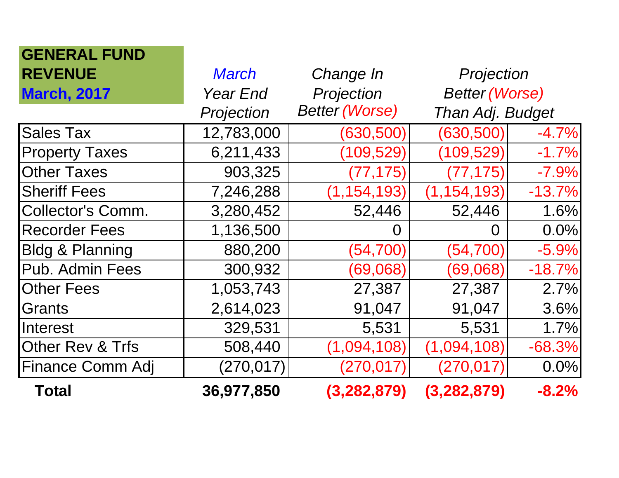| <b>GENERAL FUND</b>         |                 |                       |                       |          |
|-----------------------------|-----------------|-----------------------|-----------------------|----------|
| <b>REVENUE</b>              | March           | Change In             | Projection            |          |
| <b>March, 2017</b>          | <b>Year End</b> | Projection            | <b>Better (Worse)</b> |          |
|                             | Projection      | <b>Better (Worse)</b> | Than Adj. Budget      |          |
| <b>Sales Tax</b>            | 12,783,000      | (630, 500)            | (630, 500)            | $-4.7%$  |
| <b>Property Taxes</b>       | 6,211,433       | (109, 529)            | (109, 529)            | $-1.7%$  |
| <b>Other Taxes</b>          | 903,325         | (77, 175)             | (77, 175)             | $-7.9%$  |
| <b>Sheriff Fees</b>         | 7,246,288       | (1, 154, 193)         | (1, 154, 193)         | $-13.7%$ |
| <b>Collector's Comm.</b>    | 3,280,452       | 52,446                | 52,446                | 1.6%     |
| <b>Recorder Fees</b>        | 1,136,500       | O                     | O                     | 0.0%     |
| <b>Bldg &amp; Planning</b>  | 880,200         | (54, 700)             | (54, 700)             | $-5.9%$  |
| Pub. Admin Fees             | 300,932         | (69,068)              | (69,068)              | $-18.7%$ |
| <b>Other Fees</b>           | 1,053,743       | 27,387                | 27,387                | 2.7%     |
| Grants                      | 2,614,023       | 91,047                | 91,047                | 3.6%     |
| Interest                    | 329,531         | 5,531                 | 5,531                 | 1.7%     |
| <b>Other Rev &amp; Trfs</b> | 508,440         | (1,094,108)           | (1,094,108)           | $-68.3%$ |
| <b>Finance Comm Adj</b>     | (270, 017)      | (270,017)             | (270,017)             | 0.0%     |
| Total                       | 36,977,850      | (3,282,879)           | (3,282,879)           | $-8.2%$  |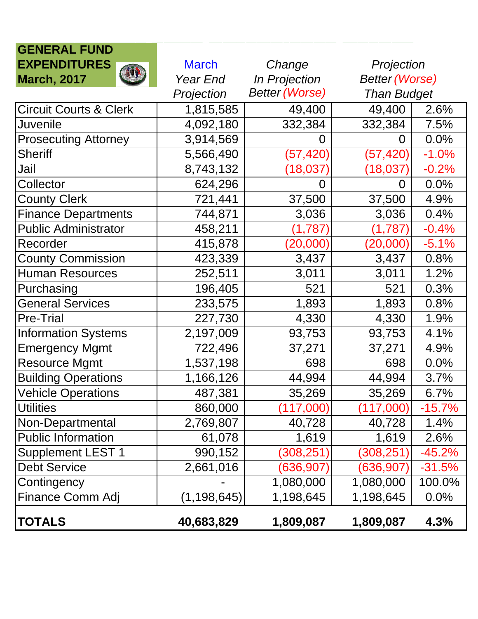| <b>GENERAL FUND</b>               |               |                       |                       |          |
|-----------------------------------|---------------|-----------------------|-----------------------|----------|
| <b>EXPENDITURES</b>               | <b>March</b>  | Change                | Projection            |          |
| JU.<br><b>March, 2017</b>         | Year End      | In Projection         | <b>Better (Worse)</b> |          |
|                                   | Projection    | <b>Better (Worse)</b> | <b>Than Budget</b>    |          |
| <b>Circuit Courts &amp; Clerk</b> | 1,815,585     | 49,400                | 49,400                | 2.6%     |
| Juvenile                          | 4,092,180     | 332,384               | 332,384               | 7.5%     |
| <b>Prosecuting Attorney</b>       | 3,914,569     | 0                     | 0                     | 0.0%     |
| <b>Sheriff</b>                    | 5,566,490     | (57, 420)             | (57, 420)             | $-1.0%$  |
| Jail                              | 8,743,132     | (18,037)              | $(18,\!037)$          | $-0.2%$  |
| Collector                         | 624,296       | 0                     | 0                     | 0.0%     |
| <b>County Clerk</b>               | 721,441       | 37,500                | 37,500                | 4.9%     |
| <b>Finance Departments</b>        | 744,871       | 3,036                 | 3,036                 | 0.4%     |
| <b>Public Administrator</b>       | 458,211       | (1,787)               | (1,787)               | $-0.4%$  |
| Recorder                          | 415,878       | (20,000)              | (20,000)              | $-5.1%$  |
| <b>County Commission</b>          | 423,339       | 3,437                 | 3,437                 | 0.8%     |
| <b>Human Resources</b>            | 252,511       | 3,011                 | 3,011                 | 1.2%     |
| Purchasing                        | 196,405       | 521                   | 521                   | 0.3%     |
| <b>General Services</b>           | 233,575       | 1,893                 | 1,893                 | 0.8%     |
| <b>Pre-Trial</b>                  | 227,730       | 4,330                 | 4,330                 | 1.9%     |
| <b>Information Systems</b>        | 2,197,009     | 93,753                | 93,753                | 4.1%     |
| <b>Emergency Mgmt</b>             | 722,496       | 37,271                | 37,271                | 4.9%     |
| <b>Resource Mgmt</b>              | 1,537,198     | 698                   | 698                   | 0.0%     |
| <b>Building Operations</b>        | 1,166,126     | 44,994                | 44,994                | 3.7%     |
| <b>Vehicle Operations</b>         | 487,381       | 35,269                | 35,269                | 6.7%     |
| <b>Utilities</b>                  | 860,000       | (117,000)             | (117,000)             | $-15.7%$ |
| Non-Departmental                  | 2,769,807     | 40,728                | 40,728                | 1.4%     |
| <b>Public Information</b>         | 61,078        | 1,619                 | 1,619                 | 2.6%     |
| <b>Supplement LEST 1</b>          | 990,152       | (308, 251)            | (308, 251)            | $-45.2%$ |
| <b>Debt Service</b>               | 2,661,016     | (636, 907)            | (636, 907)            | $-31.5%$ |
| Contingency                       |               | 1,080,000             | 1,080,000             | 100.0%   |
| Finance Comm Adj                  | (1, 198, 645) | 1,198,645             | 1,198,645             | 0.0%     |
| <b>TOTALS</b>                     | 40,683,829    | 1,809,087             | 1,809,087             | 4.3%     |